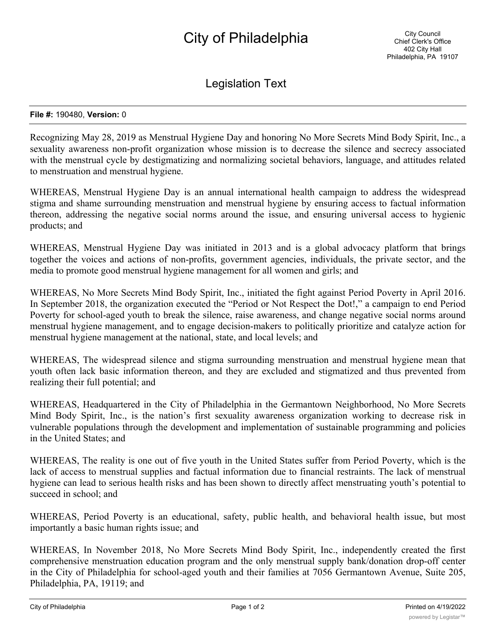## City of Philadelphia

Legislation Text

## **File #:** 190480, **Version:** 0

Recognizing May 28, 2019 as Menstrual Hygiene Day and honoring No More Secrets Mind Body Spirit, Inc., a sexuality awareness non-profit organization whose mission is to decrease the silence and secrecy associated with the menstrual cycle by destigmatizing and normalizing societal behaviors, language, and attitudes related to menstruation and menstrual hygiene.

WHEREAS, Menstrual Hygiene Day is an annual international health campaign to address the widespread stigma and shame surrounding menstruation and menstrual hygiene by ensuring access to factual information thereon, addressing the negative social norms around the issue, and ensuring universal access to hygienic products; and

WHEREAS, Menstrual Hygiene Day was initiated in 2013 and is a global advocacy platform that brings together the voices and actions of non-profits, government agencies, individuals, the private sector, and the media to promote good menstrual hygiene management for all women and girls; and

WHEREAS, No More Secrets Mind Body Spirit, Inc., initiated the fight against Period Poverty in April 2016. In September 2018, the organization executed the "Period or Not Respect the Dot!," a campaign to end Period Poverty for school-aged youth to break the silence, raise awareness, and change negative social norms around menstrual hygiene management, and to engage decision-makers to politically prioritize and catalyze action for menstrual hygiene management at the national, state, and local levels; and

WHEREAS, The widespread silence and stigma surrounding menstruation and menstrual hygiene mean that youth often lack basic information thereon, and they are excluded and stigmatized and thus prevented from realizing their full potential; and

WHEREAS, Headquartered in the City of Philadelphia in the Germantown Neighborhood, No More Secrets Mind Body Spirit, Inc., is the nation's first sexuality awareness organization working to decrease risk in vulnerable populations through the development and implementation of sustainable programming and policies in the United States; and

WHEREAS, The reality is one out of five youth in the United States suffer from Period Poverty, which is the lack of access to menstrual supplies and factual information due to financial restraints. The lack of menstrual hygiene can lead to serious health risks and has been shown to directly affect menstruating youth's potential to succeed in school; and

WHEREAS, Period Poverty is an educational, safety, public health, and behavioral health issue, but most importantly a basic human rights issue; and

WHEREAS, In November 2018, No More Secrets Mind Body Spirit, Inc., independently created the first comprehensive menstruation education program and the only menstrual supply bank/donation drop-off center in the City of Philadelphia for school-aged youth and their families at 7056 Germantown Avenue, Suite 205, Philadelphia, PA, 19119; and